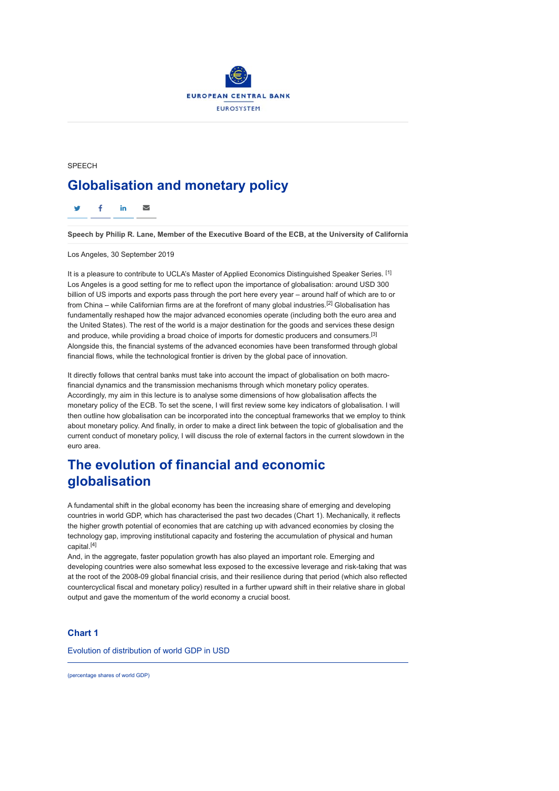

# SPEECH **Globalisation and monetary policy**

f in  $\approx$ 

**Speech by Philip R. Lane, Member of the Executive Board of the ECB, at the University of California**

Los Angeles, 30 September 2019

It is a pleasure to contribute to UCLA's Master of Applied Economics Distinguished Speaker Series. [1] Los Angeles is a good setting for me to reflect upon the importance of globalisation: around USD 300 billion of US imports and exports pass through the port here every year – around half of which are to or from China – while Californian firms are at the forefront of many global industries.<sup>[2]</sup> Globalisation has fundamentally reshaped how the major advanced economies operate (including both the euro area and the United States). The rest of the world is a major destination for the goods and services these design and produce, while providing a broad choice of imports for domestic producers and consumers.[3] Alongside this, the financial systems of the advanced economies have been transformed through global financial flows, while the technological frontier is driven by the global pace of innovation.

It directly follows that central banks must take into account the impact of globalisation on both macrofinancial dynamics and the transmission mechanisms through which monetary policy operates. Accordingly, my aim in this lecture is to analyse some dimensions of how globalisation affects the monetary policy of the ECB. To set the scene, I will first review some key indicators of globalisation. I will then outline how globalisation can be incorporated into the conceptual frameworks that we employ to think about monetary policy. And finally, in order to make a direct link between the topic of globalisation and the current conduct of monetary policy, I will discuss the role of external factors in the current slowdown in the euro area.

# **The evolution of financial and economic globalisation**

A fundamental shift in the global economy has been the increasing share of emerging and developing countries in world GDP, which has characterised the past two decades (Chart 1). Mechanically, it reflects the higher growth potential of economies that are catching up with advanced economies by closing the technology gap, improving institutional capacity and fostering the accumulation of physical and human capital.[4]

And, in the aggregate, faster population growth has also played an important role. Emerging and developing countries were also somewhat less exposed to the excessive leverage and risk-taking that was at the root of the 2008-09 global financial crisis, and their resilience during that period (which also reflected countercyclical fiscal and monetary policy) resulted in a further upward shift in their relative share in global output and gave the momentum of the world economy a crucial boost.

### **Chart 1**

Evolution of distribution of world GDP in USD

(percentage shares of world GDP)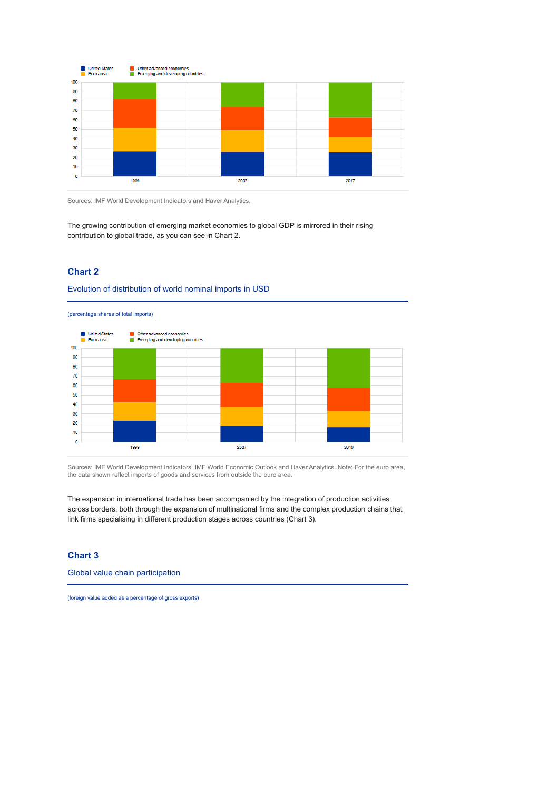

Sources: IMF World Development Indicators and Haver Analytics.

The growing contribution of emerging market economies to global GDP is mirrored in their rising contribution to global trade, as you can see in Chart 2.

## **Chart 2**

#### Evolution of distribution of world nominal imports in USD

(percentage shares of total imports)



Sources: IMF World Development Indicators, IMF World Economic Outlook and Haver Analytics. Note: For the euro area, the data shown reflect imports of goods and services from outside the euro area.

The expansion in international trade has been accompanied by the integration of production activities across borders, both through the expansion of multinational firms and the complex production chains that link firms specialising in different production stages across countries (Chart 3).

## **Chart 3**

Global value chain participation

(foreign value added as a percentage of gross exports)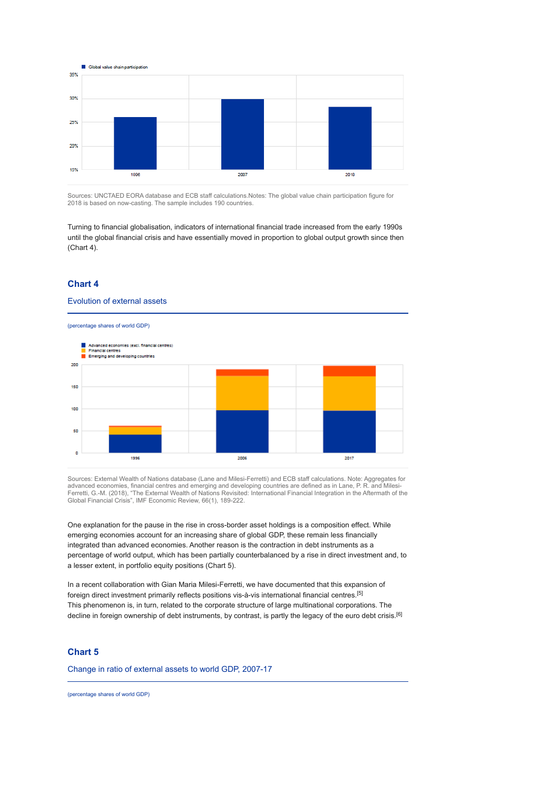

Sources: UNCTAED EORA database and ECB staff calculations.Notes: The global value chain participation figure for 2018 is based on now-casting. The sample includes 190 countries.

Turning to financial globalisation, indicators of international financial trade increased from the early 1990s until the global financial crisis and have essentially moved in proportion to global output growth since then (Chart 4).

## **Chart 4**

#### Evolution of external assets

(percentage shares of world GDP)



Sources: External Wealth of Nations database (Lane and Milesi-Ferretti) and ECB staff calculations. Note: Aggregates for<br>advanced economies, financial centres and emerging and developing countries are defined as in Lane, P

One explanation for the pause in the rise in cross-border asset holdings is a composition effect. While emerging economies account for an increasing share of global GDP, these remain less financially integrated than advanced economies. Another reason is the contraction in debt instruments as a percentage of world output, which has been partially counterbalanced by a rise in direct investment and, to a lesser extent, in portfolio equity positions (Chart 5).

In a recent collaboration with Gian Maria Milesi-Ferretti, we have documented that this expansion of foreign direct investment primarily reflects positions vis-à-vis international financial centres.[5] This phenomenon is, in turn, related to the corporate structure of large multinational corporations. The decline in foreign ownership of debt instruments, by contrast, is partly the legacy of the euro debt crisis.<sup>[6]</sup>

## **Chart 5**

Change in ratio of external assets to world GDP, 2007-17

(percentage shares of world GDP)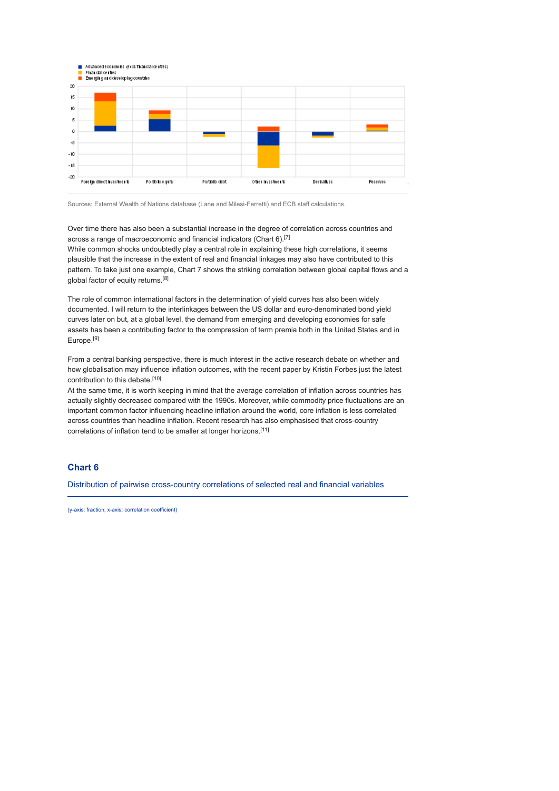

Sources: External Wealth of Nations database (Lane and Milesi-Ferretti) and ECB staff calculations.

Over time there has also been a substantial increase in the degree of correlation across countries and across a range of macroeconomic and financial indicators (Chart 6).[7]

While common shocks undoubtedly play a central role in explaining these high correlations, it seems plausible that the increase in the extent of real and financial linkages may also have contributed to this pattern. To take just one example, Chart 7 shows the striking correlation between global capital flows and a global factor of equity returns.<sup>[8]</sup>

The role of common international factors in the determination of yield curves has also been widely documented. I will return to the interlinkages between the US dollar and euro-denominated bond yield curves later on but, at a global level, the demand from emerging and developing economies for safe assets has been a contributing factor to the compression of term premia both in the United States and in Europe.[9]

From a central banking perspective, there is much interest in the active research debate on whether and how globalisation may influence inflation outcomes, with the recent paper by Kristin Forbes just the latest contribution to this debate.<sup>[10]</sup>

At the same time, it is worth keeping in mind that the average correlation of inflation across countries has actually slightly decreased compared with the 1990s. Moreover, while commodity price fluctuations are an important common factor influencing headline inflation around the world, core inflation is less correlated across countries than headline inflation. Recent research has also emphasised that cross-country correlations of inflation tend to be smaller at longer horizons.<sup>[11]</sup>

## **Chart 6**

Distribution of pairwise cross-country correlations of selected real and financial variables

(y-axis: fraction; x-axis: correlation coefficient)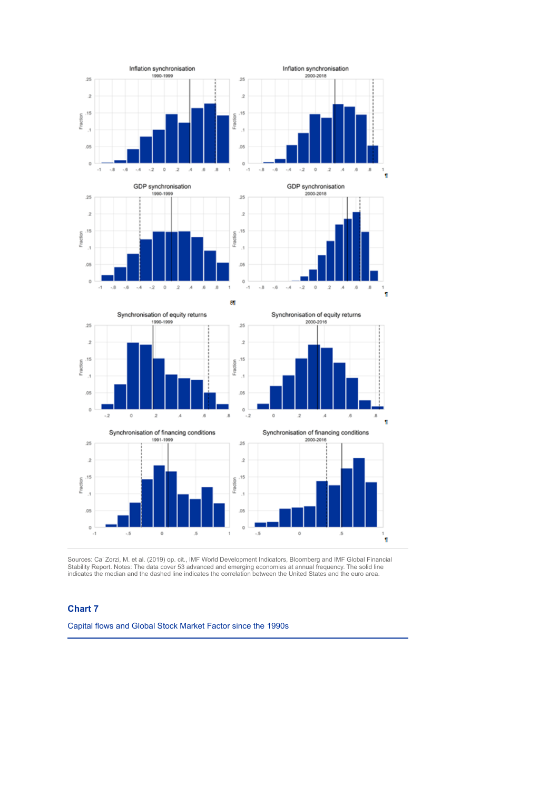

Sources: Ca' Zorzi, M. et al. (2019) op. cit., IMF World Development Indicators, Bloomberg and IMF Global Financial<br>Stability Report. Notes: The data cover 53 advanced and emerging economies at annual frequency. The solid

## **Chart 7**

Capital flows and Global Stock Market Factor since the 1990s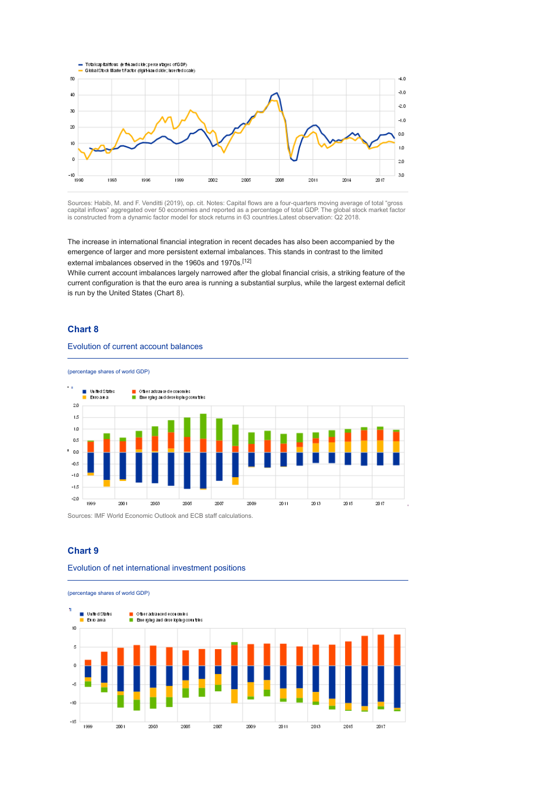

Sources: Habib, M. and F. Venditti (2019), op. cit. Notes: Capital flows are a four-quarters moving average of total "gross capital inflows" aggregated over 50 economies and reported as a percentage of total GDP. The global stock market factor is constructed from a dynamic factor model for stock returns in 63 countries.Latest observation: Q2 2018.

The increase in international financial integration in recent decades has also been accompanied by the emergence of larger and more persistent external imbalances. This stands in contrast to the limited external imbalances observed in the 1960s and 1970s.[12]

While current account imbalances largely narrowed after the global financial crisis, a striking feature of the current configuration is that the euro area is running a substantial surplus, while the largest external deficit is run by the United States (Chart 8).

### **Chart 8**

### Evolution of current account balances

(percentage shares of world GDP)

 $\ddotsc$ <mark>ia Ott</mark>er advar cedecorom les<br>■ Emerging and develop in gconnities Unifed States **CO** Euroaea  $20$  $15$  $10$  $05$  $\cdot$  0.0  $-0.5$  $-1.0$  $-1.5$  $-2.0$ 2001 2003 2005 2009 2011 2013 2015 2017 1999 2007

 $\mathbf{r}$ 

Sources: IMF World Economic Outlook and ECB staff calculations.

### **Chart 9**

#### Evolution of net international investment positions

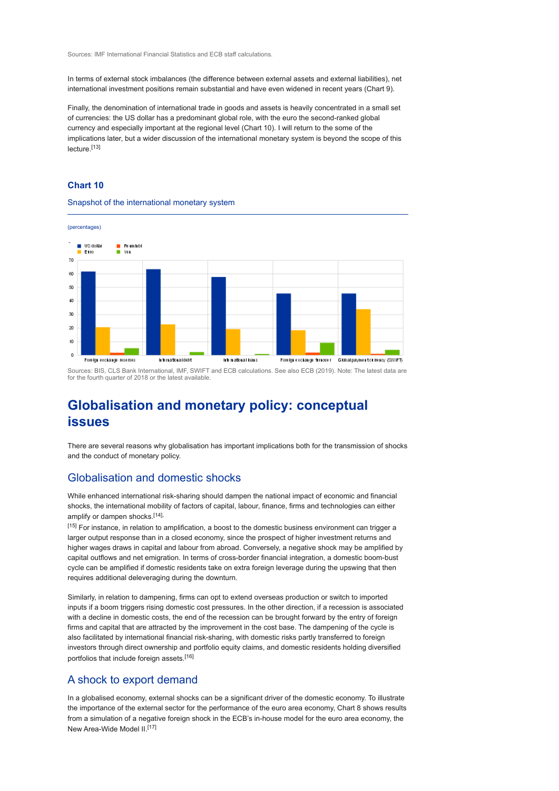Sources: IMF International Financial Statistics and ECB staff calculations.

In terms of external stock imbalances (the difference between external assets and external liabilities), net international investment positions remain substantial and have even widened in recent years (Chart 9).

Finally, the denomination of international trade in goods and assets is heavily concentrated in a small set of currencies: the US dollar has a predominant global role, with the euro the second-ranked global currency and especially important at the regional level (Chart 10). I will return to the some of the implications later, but a wider discussion of the international monetary system is beyond the scope of this lecture.[13]

### **Chart 10**

Snapshot of the international monetary system



Sources: BIS, CLS Bank International, IMF, SWIFT and ECB calculations. See also ECB (2019). Note: The latest data are for the fourth quarter of 2018 or the latest available.

# **Globalisation and monetary policy: conceptual issues**

There are several reasons why globalisation has important implications both for the transmission of shocks and the conduct of monetary policy.

# Globalisation and domestic shocks

While enhanced international risk-sharing should dampen the national impact of economic and financial shocks, the international mobility of factors of capital, labour, finance, firms and technologies can either amplify or dampen shocks.<sup>[14],</sup>

[15] For instance, in relation to amplification, a boost to the domestic business environment can trigger a larger output response than in a closed economy, since the prospect of higher investment returns and higher wages draws in capital and labour from abroad. Conversely, a negative shock may be amplified by capital outflows and net emigration. In terms of cross-border financial integration, a domestic boom-bust cycle can be amplified if domestic residents take on extra foreign leverage during the upswing that then requires additional deleveraging during the downturn.

Similarly, in relation to dampening, firms can opt to extend overseas production or switch to imported inputs if a boom triggers rising domestic cost pressures. In the other direction, if a recession is associated with a decline in domestic costs, the end of the recession can be brought forward by the entry of foreign firms and capital that are attracted by the improvement in the cost base. The dampening of the cycle is also facilitated by international financial risk-sharing, with domestic risks partly transferred to foreign investors through direct ownership and portfolio equity claims, and domestic residents holding diversified portfolios that include foreign assets.[16]

# A shock to export demand

In a globalised economy, external shocks can be a significant driver of the domestic economy. To illustrate the importance of the external sector for the performance of the euro area economy, Chart 8 shows results from a simulation of a negative foreign shock in the ECB's in-house model for the euro area economy, the New Area-Wide Model II.<sup>[17]</sup>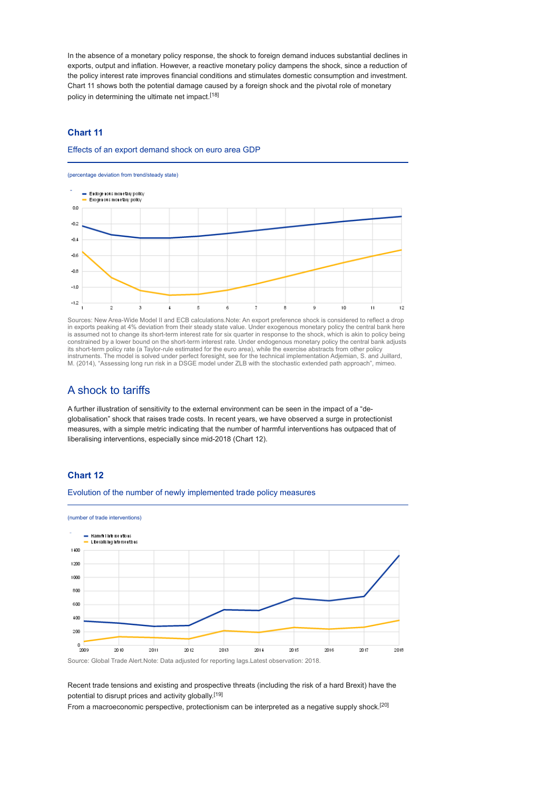In the absence of a monetary policy response, the shock to foreign demand induces substantial declines in exports, output and inflation. However, a reactive monetary policy dampens the shock, since a reduction of the policy interest rate improves financial conditions and stimulates domestic consumption and investment. Chart 11 shows both the potential damage caused by a foreign shock and the pivotal role of monetary policy in determining the ultimate net impact.<sup>[18]</sup>

## **Chart 11**

Effects of an export demand shock on euro area GDP

(percentage deviation from trend/steady state)



Sources: New Area-Wide Model II and ECB calculations.Note: An export preference shock is considered to reflect a drop in exports peaking at 4% deviation from their steady state value. Under exogenous monetary policy the central bank here is assumed not to change its short-term interest rate for six quarter in response to the shock, which is akin to policy being constrained by a lower bound on the short-term interest rate. Under endogenous monetary policy the central bank adjusts its short-term policy rate (a Taylor-rule estimated for the euro area), while the exercise abstracts from other policy instruments. The model is solved under perfect foresight, see for the technical implementation Adjemian, S. and Juillard, M. (2014), "Assessing long run risk in a DSGE model under ZLB with the stochastic extended path approach", mimeo.

# A shock to tariffs

A further illustration of sensitivity to the external environment can be seen in the impact of a "deglobalisation" shock that raises trade costs. In recent years, we have observed a surge in protectionist measures, with a simple metric indicating that the number of harmful interventions has outpaced that of liberalising interventions, especially since mid-2018 (Chart 12).

## **Chart 12**



Evolution of the number of newly implemented trade policy measures

Source: Global Trade Alert.Note: Data adjusted for reporting lags.Latest observation: 2018.

Recent trade tensions and existing and prospective threats (including the risk of a hard Brexit) have the potential to disrupt prices and activity globally.[19]

From a macroeconomic perspective, protectionism can be interpreted as a negative supply shock.<sup>[20]</sup>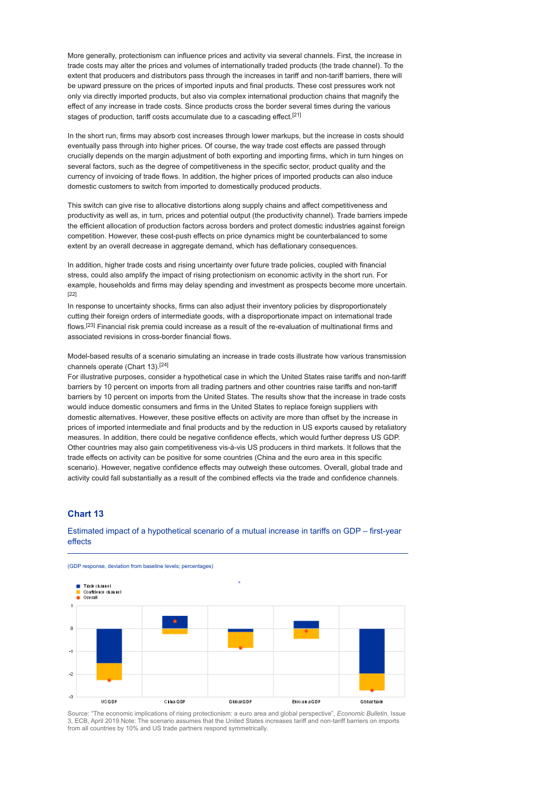More generally, protectionism can influence prices and activity via several channels. First, the increase in trade costs may alter the prices and volumes of internationally traded products (the trade channel). To the extent that producers and distributors pass through the increases in tariff and non-tariff barriers, there will be upward pressure on the prices of imported inputs and final products. These cost pressures work not only via directly imported products, but also via complex international production chains that magnify the effect of any increase in trade costs. Since products cross the border several times during the various stages of production, tariff costs accumulate due to a cascading effect.<sup>[21]</sup>

In the short run, firms may absorb cost increases through lower markups, but the increase in costs should eventually pass through into higher prices. Of course, the way trade cost effects are passed through crucially depends on the margin adjustment of both exporting and importing firms, which in turn hinges on several factors, such as the degree of competitiveness in the specific sector, product quality and the currency of invoicing of trade flows. In addition, the higher prices of imported products can also induce domestic customers to switch from imported to domestically produced products.

This switch can give rise to allocative distortions along supply chains and affect competitiveness and productivity as well as, in turn, prices and potential output (the productivity channel). Trade barriers impede the efficient allocation of production factors across borders and protect domestic industries against foreign competition. However, these cost-push effects on price dynamics might be counterbalanced to some extent by an overall decrease in aggregate demand, which has deflationary consequences.

In addition, higher trade costs and rising uncertainty over future trade policies, coupled with financial stress, could also amplify the impact of rising protectionism on economic activity in the short run. For example, households and firms may delay spending and investment as prospects become more uncertain. [22]

In response to uncertainty shocks, firms can also adjust their inventory policies by disproportionately cutting their foreign orders of intermediate goods, with a disproportionate impact on international trade flows.<sup>[23]</sup> Financial risk premia could increase as a result of the re-evaluation of multinational firms and associated revisions in cross-border financial flows.

Model-based results of a scenario simulating an increase in trade costs illustrate how various transmission channels operate (Chart 13).[24]

For illustrative purposes, consider a hypothetical case in which the United States raise tariffs and non-tariff barriers by 10 percent on imports from all trading partners and other countries raise tariffs and non-tariff barriers by 10 percent on imports from the United States. The results show that the increase in trade costs would induce domestic consumers and firms in the United States to replace foreign suppliers with domestic alternatives. However, these positive effects on activity are more than offset by the increase in prices of imported intermediate and final products and by the reduction in US exports caused by retaliatory measures. In addition, there could be negative confidence effects, which would further depress US GDP. Other countries may also gain competitiveness vis-à-vis US producers in third markets. It follows that the trade effects on activity can be positive for some countries (China and the euro area in this specific scenario). However, negative confidence effects may outweigh these outcomes. Overall, global trade and activity could fall substantially as a result of the combined effects via the trade and confidence channels.

### **Chart 13**

### Estimated impact of a hypothetical scenario of a mutual increase in tariffs on GDP – first-year effects



Source: "The economic implications of rising protectionism: a euro area and global perspective", *Economic Bulletin*, Issue 3, ECB, April 2019.Note: The scenario assumes that the United States increases tariff and non-tariff barriers on imports from all countries by 10% and US trade partners respond symmetrically.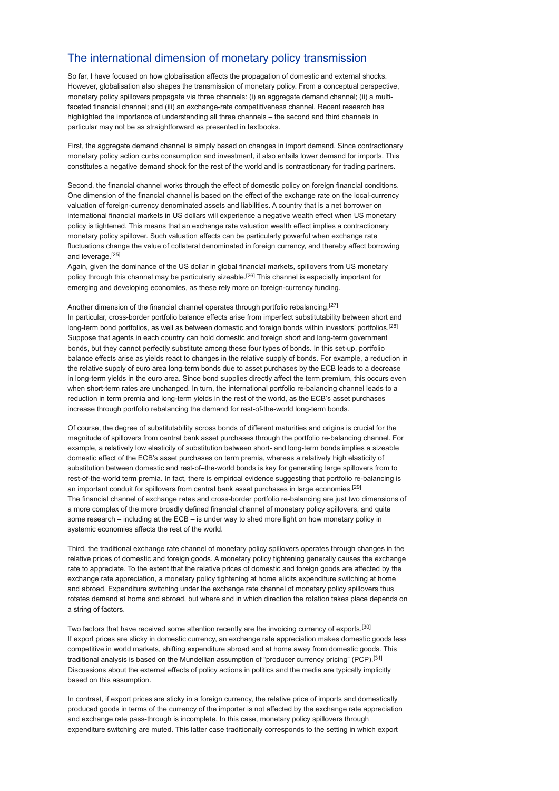# The international dimension of monetary policy transmission

So far, I have focused on how globalisation affects the propagation of domestic and external shocks. However, globalisation also shapes the transmission of monetary policy. From a conceptual perspective, monetary policy spillovers propagate via three channels: (i) an aggregate demand channel; (ii) a multifaceted financial channel; and (iii) an exchange-rate competitiveness channel. Recent research has highlighted the importance of understanding all three channels – the second and third channels in particular may not be as straightforward as presented in textbooks.

First, the aggregate demand channel is simply based on changes in import demand. Since contractionary monetary policy action curbs consumption and investment, it also entails lower demand for imports. This constitutes a negative demand shock for the rest of the world and is contractionary for trading partners.

Second, the financial channel works through the effect of domestic policy on foreign financial conditions. One dimension of the financial channel is based on the effect of the exchange rate on the local-currency valuation of foreign-currency denominated assets and liabilities. A country that is a net borrower on international financial markets in US dollars will experience a negative wealth effect when US monetary policy is tightened. This means that an exchange rate valuation wealth effect implies a contractionary monetary policy spillover. Such valuation effects can be particularly powerful when exchange rate fluctuations change the value of collateral denominated in foreign currency, and thereby affect borrowing and leverage.[25]

Again, given the dominance of the US dollar in global financial markets, spillovers from US monetary policy through this channel may be particularly sizeable.<sup>[26]</sup> This channel is especially important for emerging and developing economies, as these rely more on foreign-currency funding.

Another dimension of the financial channel operates through portfolio rebalancing.[27] In particular, cross-border portfolio balance effects arise from imperfect substitutability between short and long-term bond portfolios, as well as between domestic and foreign bonds within investors' portfolios.<sup>[28]</sup> Suppose that agents in each country can hold domestic and foreign short and long-term government bonds, but they cannot perfectly substitute among these four types of bonds. In this set-up, portfolio balance effects arise as yields react to changes in the relative supply of bonds. For example, a reduction in the relative supply of euro area long-term bonds due to asset purchases by the ECB leads to a decrease in long-term yields in the euro area. Since bond supplies directly affect the term premium, this occurs even when short-term rates are unchanged. In turn, the international portfolio re-balancing channel leads to a reduction in term premia and long-term yields in the rest of the world, as the ECB's asset purchases increase through portfolio rebalancing the demand for rest-of-the-world long-term bonds.

Of course, the degree of substitutability across bonds of different maturities and origins is crucial for the magnitude of spillovers from central bank asset purchases through the portfolio re-balancing channel. For example, a relatively low elasticity of substitution between short- and long-term bonds implies a sizeable domestic effect of the ECB's asset purchases on term premia, whereas a relatively high elasticity of substitution between domestic and rest-of–the-world bonds is key for generating large spillovers from to rest-of-the-world term premia. In fact, there is empirical evidence suggesting that portfolio re-balancing is an important conduit for spillovers from central bank asset purchases in large economies.[29] The financial channel of exchange rates and cross-border portfolio re-balancing are just two dimensions of a more complex of the more broadly defined financial channel of monetary policy spillovers, and quite some research – including at the ECB – is under way to shed more light on how monetary policy in systemic economies affects the rest of the world.

Third, the traditional exchange rate channel of monetary policy spillovers operates through changes in the relative prices of domestic and foreign goods. A monetary policy tightening generally causes the exchange rate to appreciate. To the extent that the relative prices of domestic and foreign goods are affected by the exchange rate appreciation, a monetary policy tightening at home elicits expenditure switching at home and abroad. Expenditure switching under the exchange rate channel of monetary policy spillovers thus rotates demand at home and abroad, but where and in which direction the rotation takes place depends on a string of factors.

Two factors that have received some attention recently are the invoicing currency of exports.[30] If export prices are sticky in domestic currency, an exchange rate appreciation makes domestic goods less competitive in world markets, shifting expenditure abroad and at home away from domestic goods. This traditional analysis is based on the Mundellian assumption of "producer currency pricing" (PCP).[31] Discussions about the external effects of policy actions in politics and the media are typically implicitly based on this assumption.

In contrast, if export prices are sticky in a foreign currency, the relative price of imports and domestically produced goods in terms of the currency of the importer is not affected by the exchange rate appreciation and exchange rate pass-through is incomplete. In this case, monetary policy spillovers through expenditure switching are muted. This latter case traditionally corresponds to the setting in which export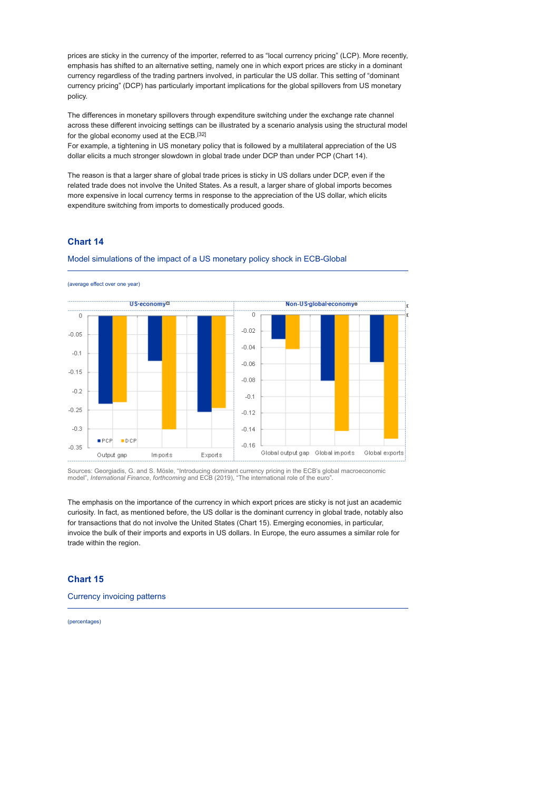prices are sticky in the currency of the importer, referred to as "local currency pricing" (LCP). More recently, emphasis has shifted to an alternative setting, namely one in which export prices are sticky in a dominant currency regardless of the trading partners involved, in particular the US dollar. This setting of "dominant currency pricing" (DCP) has particularly important implications for the global spillovers from US monetary policy.

The differences in monetary spillovers through expenditure switching under the exchange rate channel across these different invoicing settings can be illustrated by a scenario analysis using the structural model for the global economy used at the ECB.[32]

For example, a tightening in US monetary policy that is followed by a multilateral appreciation of the US dollar elicits a much stronger slowdown in global trade under DCP than under PCP (Chart 14).

The reason is that a larger share of global trade prices is sticky in US dollars under DCP, even if the related trade does not involve the United States. As a result, a larger share of global imports becomes more expensive in local currency terms in response to the appreciation of the US dollar, which elicits expenditure switching from imports to domestically produced goods.

# **Chart 14**



Model simulations of the impact of a US monetary policy shock in ECB-Global

Sources: Georgiadis, G. and S. Mösle, "Introducing dominant currency pricing in the ECB's global macroeconomic model", *International Finance*, *forthcoming* and ECB (2019), "The international role of the euro".

The emphasis on the importance of the currency in which export prices are sticky is not just an academic curiosity. In fact, as mentioned before, the US dollar is the dominant currency in global trade, notably also for transactions that do not involve the United States (Chart 15). Emerging economies, in particular, invoice the bulk of their imports and exports in US dollars. In Europe, the euro assumes a similar role for trade within the region.

### **Chart 15**

Currency invoicing patterns

(percentages)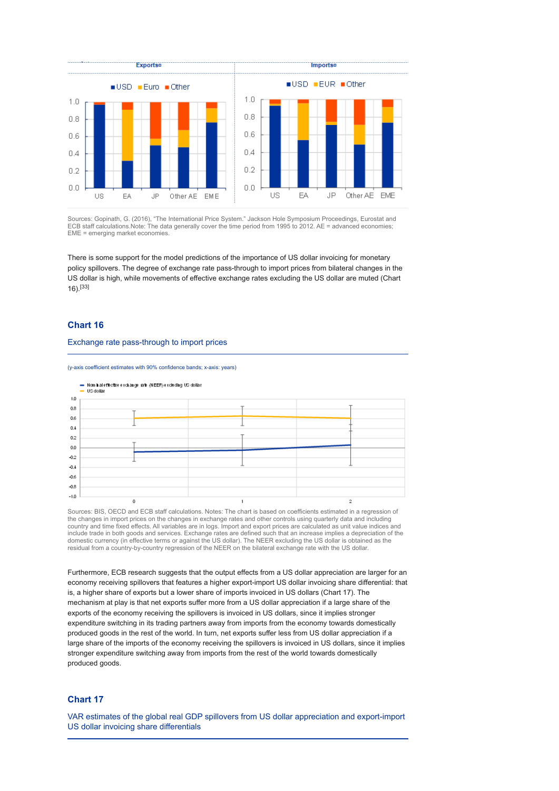

Sources: Gopinath, G. (2016), "The International Price System." Jackson Hole Symposium Proceedings, Eurostat and ECB staff calculations.Note: The data generally cover the time period from 1995 to 2012. AE = advanced economies; EME = emerging market economies.

There is some support for the model predictions of the importance of US dollar invoicing for monetary policy spillovers. The degree of exchange rate pass-through to import prices from bilateral changes in the US dollar is high, while movements of effective exchange rates excluding the US dollar are muted (Chart 16).[33]

### **Chart 16**

#### Exchange rate pass-through to import prices

(y-axis coefficient estimates with 90% confidence bands; x-axis: years)



Sources: BIS, OECD and ECB staff calculations. Notes: The chart is based on coefficients estimated in a regression of the changes in import prices on the changes in exchange rates and other controls using quarterly data and including country and time fixed effects. All variables are in logs. Import and export prices are calculated as unit value indices and include trade in both goods and services. Exchange rates are defined such that an increase implies a depreciation of the<br>domestic currency (in effective terms or against the US dollar). The NEER excluding the US dollar is residual from a country-by-country regression of the NEER on the bilateral exchange rate with the US dollar.

Furthermore, ECB research suggests that the output effects from a US dollar appreciation are larger for an economy receiving spillovers that features a higher export-import US dollar invoicing share differential: that is, a higher share of exports but a lower share of imports invoiced in US dollars (Chart 17). The mechanism at play is that net exports suffer more from a US dollar appreciation if a large share of the exports of the economy receiving the spillovers is invoiced in US dollars, since it implies stronger expenditure switching in its trading partners away from imports from the economy towards domestically produced goods in the rest of the world. In turn, net exports suffer less from US dollar appreciation if a large share of the imports of the economy receiving the spillovers is invoiced in US dollars, since it implies stronger expenditure switching away from imports from the rest of the world towards domestically produced goods.

### **Chart 17**

VAR estimates of the global real GDP spillovers from US dollar appreciation and export-import US dollar invoicing share differentials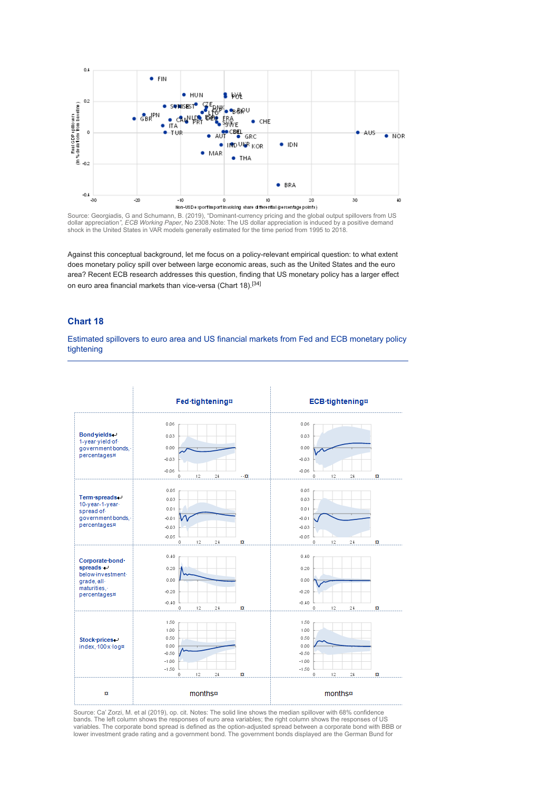

Source: Georgiadis, G and Schumann, B. (2019), "Dominant-currency pricing and the global output spillovers from US dollar appreciation*", ECB Working Paper*, No 2308.Note: The US dollar appreciation is induced by a positive demand shock in the United States in VAR models generally estimated for the time period from 1995 to 2018.

Against this conceptual background, let me focus on a policy-relevant empirical question: to what extent does monetary policy spill over between large economic areas, such as the United States and the euro area? Recent ECB research addresses this question, finding that US monetary policy has a larger effect on euro area financial markets than vice-versa (Chart 18).<sup>[34]</sup>

#### **Chart 18**

Estimated spillovers to euro area and US financial markets from Fed and ECB monetary policy tightening

|                                                                                                                | Fed-tightening#                                                                         | <b>ECB</b> -tightening¤                                                             |
|----------------------------------------------------------------------------------------------------------------|-----------------------------------------------------------------------------------------|-------------------------------------------------------------------------------------|
| Bond yields-<br>1-year-yield-of-<br>government-bonds,-<br>percentages¤                                         | 0.06<br>0.03<br>0.00<br>$-0.03$<br>$-0.06$<br>24<br>12<br>$\cdot \alpha$<br>o           | 0.06<br>0.03<br>0.00<br>$-0.03$<br>$-0.06$<br>12<br>24<br>n<br>0                    |
| Term spreads.<br>10-year-1-year-<br>spread of-<br>government-bonds,-<br>percentages¤                           | 0.05<br>0.03<br>0.01<br>$-0.01$<br>$-0.03$<br>$-0.05$<br>12<br>n<br>0<br>24             | 0.05<br>0.03<br>0.01<br>$-0.01$<br>$-0.03$<br>$-0.05$<br>12<br>$2\,4$<br>n<br>0     |
| Corporate bond<br>$s$ preads $\rightarrow$<br>below-investment-<br>grade, all-<br>maturities,-<br>percentages¤ | 0.40<br>0.20<br>0.00<br>$-0.20$<br>$-0.40$<br>12<br>$2\,\mathfrak{t}$<br>n<br>0         | 0.40<br>0.20<br>0.00<br>$-0.20$<br>$-0.40$<br>12<br>24<br>n<br>0                    |
| Stock prices-<br>index, 100 x log#                                                                             | 1.50<br>1.00<br>0.50<br>0.00<br>$-0.50$<br>$-1.00$<br>$-1.50$<br>12<br>$24\,$<br>n<br>0 | 1.50<br>1.00<br>0.50<br>0.00<br>$-0.50$<br>$-1.00$<br>$-1.50$<br>12<br>24<br>0<br>n |
| n                                                                                                              | months¤                                                                                 | months¤                                                                             |

Source: Ca' Zorzi, M. et al (2019), op. cit. Notes: The solid line shows the median spillover with 68% confidence bands. The left column shows the responses of euro area variables; the right column shows the responses of US variables. The corporate bond spread is defined as the option-adjusted spread between a corporate bond with BBB or lower investment grade rating and a government bond. The government bonds displayed are the German Bund for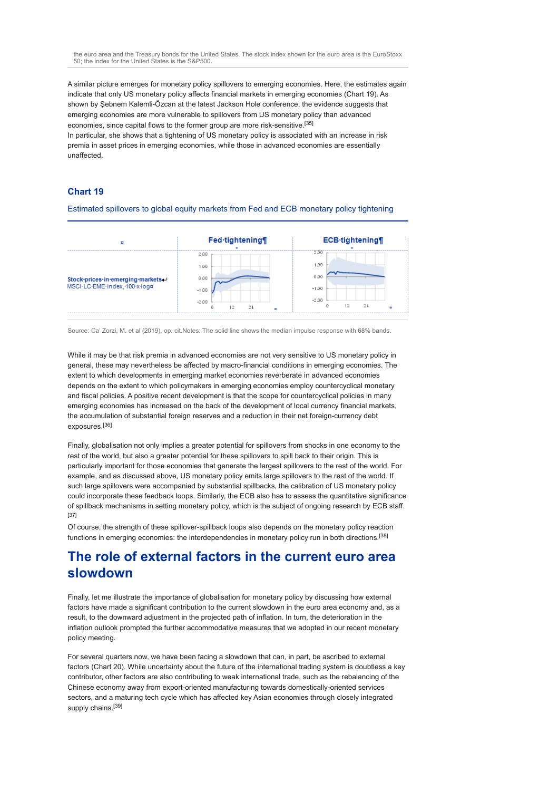the euro area and the Treasury bonds for the United States. The stock index shown for the euro area is the EuroStoxx 50; the index for the United States is the S&P500.

A similar picture emerges for monetary policy spillovers to emerging economies. Here, the estimates again indicate that only US monetary policy affects financial markets in emerging economies (Chart 19). As shown by Şebnem Kalemli-Özcan at the latest Jackson Hole conference, the evidence suggests that emerging economies are more vulnerable to spillovers from US monetary policy than advanced economies, since capital flows to the former group are more risk-sensitive.[35]

In particular, she shows that a tightening of US monetary policy is associated with an increase in risk premia in asset prices in emerging economies, while those in advanced economies are essentially unaffected.

### **Chart 19**

#### Estimated spillovers to global equity markets from Fed and ECB monetary policy tightening

|                                                                    | Fed-tightening¶                 | <b>ECB-tightening</b>           |
|--------------------------------------------------------------------|---------------------------------|---------------------------------|
| Stock prices in emerging markets.<br>MSCI-LC-EME-index, 100-x-logo | 2.00<br>1.00<br>0.00<br>$-1.00$ | 2.00<br>1.00<br>0.00<br>$-1.00$ |
|                                                                    | $-2.00$<br>24<br>o<br>12        | $-2.00$<br>24<br>12             |

Source: Ca' Zorzi, M. et al (2019), op. cit.Notes: The solid line shows the median impulse response with 68% bands.

While it may be that risk premia in advanced economies are not very sensitive to US monetary policy in general, these may nevertheless be affected by macro-financial conditions in emerging economies. The extent to which developments in emerging market economies reverberate in advanced economies depends on the extent to which policymakers in emerging economies employ countercyclical monetary and fiscal policies. A positive recent development is that the scope for countercyclical policies in many emerging economies has increased on the back of the development of local currency financial markets, the accumulation of substantial foreign reserves and a reduction in their net foreign-currency debt exposures.[36]

Finally, globalisation not only implies a greater potential for spillovers from shocks in one economy to the rest of the world, but also a greater potential for these spillovers to spill back to their origin. This is particularly important for those economies that generate the largest spillovers to the rest of the world. For example, and as discussed above, US monetary policy emits large spillovers to the rest of the world. If such large spillovers were accompanied by substantial spillbacks, the calibration of US monetary policy could incorporate these feedback loops. Similarly, the ECB also has to assess the quantitative significance of spillback mechanisms in setting monetary policy, which is the subject of ongoing research by ECB staff. [37]

Of course, the strength of these spillover-spillback loops also depends on the monetary policy reaction functions in emerging economies: the interdependencies in monetary policy run in both directions.[38]

# **The role of external factors in the current euro area slowdown**

Finally, let me illustrate the importance of globalisation for monetary policy by discussing how external factors have made a significant contribution to the current slowdown in the euro area economy and, as a result, to the downward adjustment in the projected path of inflation. In turn, the deterioration in the inflation outlook prompted the further accommodative measures that we adopted in our recent monetary policy meeting.

For several quarters now, we have been facing a slowdown that can, in part, be ascribed to external factors (Chart 20). While uncertainty about the future of the international trading system is doubtless a key contributor, other factors are also contributing to weak international trade, such as the rebalancing of the Chinese economy away from export-oriented manufacturing towards domestically-oriented services sectors, and a maturing tech cycle which has affected key Asian economies through closely integrated supply chains.<sup>[39]</sup>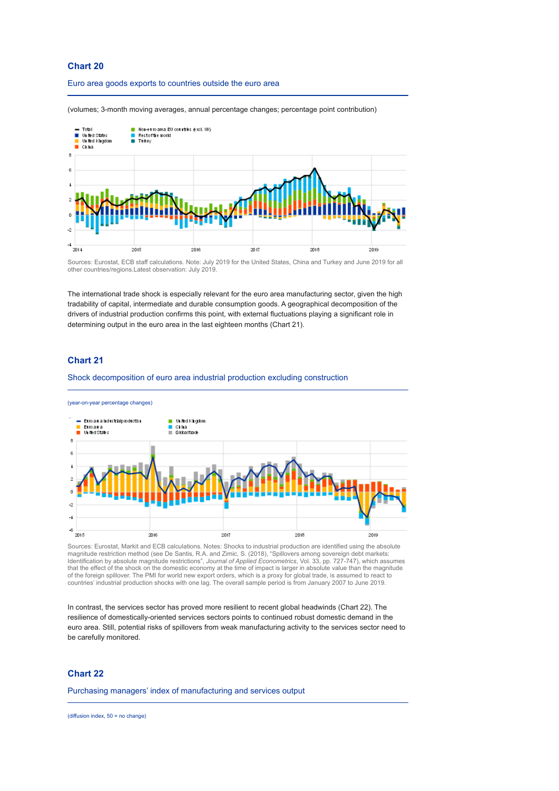### **Chart 20**

#### Euro area goods exports to countries outside the euro area

(volumes; 3-month moving averages, annual percentage changes; percentage point contribution)



Sources: Eurostat, ECB staff calculations. Note: July 2019 for the United States, China and Turkey and June 2019 for all other countries/regions.Latest observation: July 2019.

The international trade shock is especially relevant for the euro area manufacturing sector, given the high tradability of capital, intermediate and durable consumption goods. A geographical decomposition of the drivers of industrial production confirms this point, with external fluctuations playing a significant role in determining output in the euro area in the last eighteen months (Chart 21).

### **Chart 21**

Shock decomposition of euro area industrial production excluding construction



Sources: Eurostat, Markit and ECB calculations. Notes: Shocks to industrial production are identified using the absolute magnitude restriction method (see De Santis, R.A. and Zimic, S. (2018), "Spillovers among sovereign debt markets: Identification by absolute magnitude restrictions", *Journal of Applied Econometrics*, Vol. 33, pp. 727-747), which assumes that the effect of the shock on the domestic economy at the time of impact is larger in absolute value than the magnitude<br>of the foreign spillover. The PMI for world new export orders, which is a proxy for global trade, is countries' industrial production shocks with one lag. The overall sample period is from January 2007 to June 2019.

In contrast, the services sector has proved more resilient to recent global headwinds (Chart 22). The resilience of domestically-oriented services sectors points to continued robust domestic demand in the euro area. Still, potential risks of spillovers from weak manufacturing activity to the services sector need to be carefully monitored.

### **Chart 22**

Purchasing managers' index of manufacturing and services output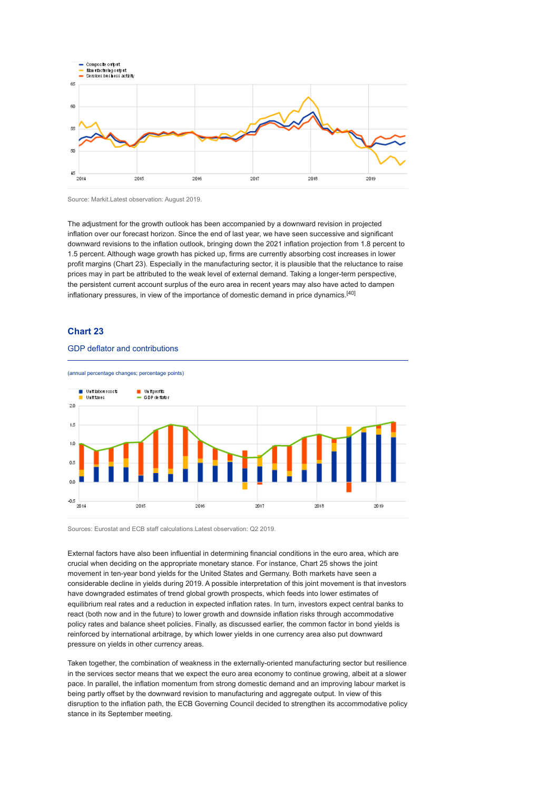

Source: Markit.Latest observation: August 2019.

The adjustment for the growth outlook has been accompanied by a downward revision in projected inflation over our forecast horizon. Since the end of last year, we have seen successive and significant downward revisions to the inflation outlook, bringing down the 2021 inflation projection from 1.8 percent to 1.5 percent. Although wage growth has picked up, firms are currently absorbing cost increases in lower profit margins (Chart 23). Especially in the manufacturing sector, it is plausible that the reluctance to raise prices may in part be attributed to the weak level of external demand. Taking a longer-term perspective, the persistent current account surplus of the euro area in recent years may also have acted to dampen inflationary pressures, in view of the importance of domestic demand in price dynamics.[40]

### **Chart 23**

#### GDP deflator and contributions



Sources: Eurostat and ECB staff calculations.Latest observation: Q2 2019.

External factors have also been influential in determining financial conditions in the euro area, which are crucial when deciding on the appropriate monetary stance. For instance, Chart 25 shows the joint movement in ten-year bond yields for the United States and Germany. Both markets have seen a considerable decline in yields during 2019. A possible interpretation of this joint movement is that investors have downgraded estimates of trend global growth prospects, which feeds into lower estimates of equilibrium real rates and a reduction in expected inflation rates. In turn, investors expect central banks to react (both now and in the future) to lower growth and downside inflation risks through accommodative policy rates and balance sheet policies. Finally, as discussed earlier, the common factor in bond yields is reinforced by international arbitrage, by which lower yields in one currency area also put downward pressure on yields in other currency areas.

Taken together, the combination of weakness in the externally-oriented manufacturing sector but resilience in the services sector means that we expect the euro area economy to continue growing, albeit at a slower pace. In parallel, the inflation momentum from strong domestic demand and an improving labour market is being partly offset by the downward revision to manufacturing and aggregate output. In view of this disruption to the inflation path, the ECB Governing Council decided to strengthen its accommodative policy stance in its September meeting.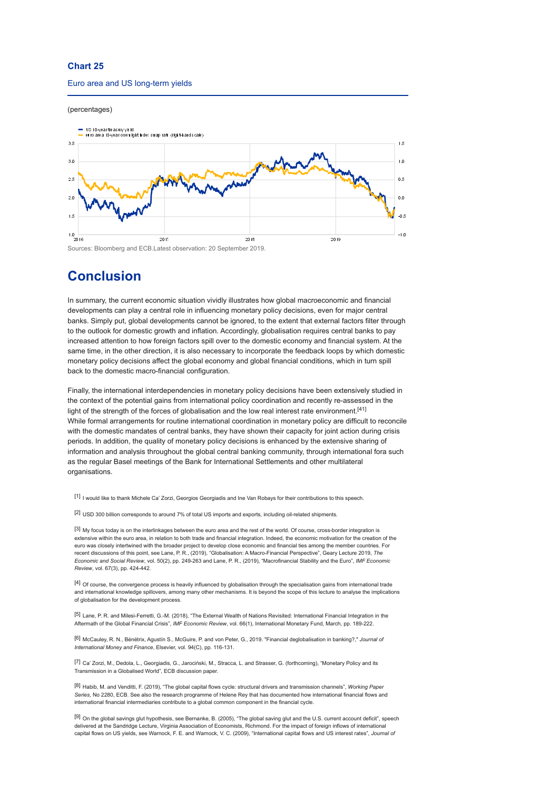### **Chart 25**

#### Euro area and US long-term yields

#### (percentages)



# **Conclusion**

In summary, the current economic situation vividly illustrates how global macroeconomic and financial developments can play a central role in influencing monetary policy decisions, even for major central banks. Simply put, global developments cannot be ignored, to the extent that external factors filter through to the outlook for domestic growth and inflation. Accordingly, globalisation requires central banks to pay increased attention to how foreign factors spill over to the domestic economy and financial system. At the same time, in the other direction, it is also necessary to incorporate the feedback loops by which domestic monetary policy decisions affect the global economy and global financial conditions, which in turn spill back to the domestic macro-financial configuration.

Finally, the international interdependencies in monetary policy decisions have been extensively studied in the context of the potential gains from international policy coordination and recently re-assessed in the light of the strength of the forces of globalisation and the low real interest rate environment.<sup>[41]</sup> While formal arrangements for routine international coordination in monetary policy are difficult to reconcile with the domestic mandates of central banks, they have shown their capacity for joint action during crisis periods. In addition, the quality of monetary policy decisions is enhanced by the extensive sharing of information and analysis throughout the global central banking community, through international fora such as the regular Basel meetings of the Bank for International Settlements and other multilateral organisations.

[1] I would like to thank Michele Ca' Zorzi, Georgios Georgiadis and Ine Van Robays for their contributions to this speech.

[2] USD 300 billion corresponds to around 7% of total US imports and exports, including oil-related shipments.

[3] My focus today is on the interlinkages between the euro area and the rest of the world. Of course, cross-border integration is extensive within the euro area, in relation to both trade and financial integration. Indeed, the economic motivation for the creation of the euro was closely intertwined with the broader project to develop close economic and financial ties among the member countries. For recent discussions of this point, see Lane, P. R., (2019), "Globalisation: A Macro-Financial Perspective", Geary Lecture 2019, *The Economic and Social Review*, vol. 50(2), pp. 249-263 and Lane, P. R., (2019), "Macrofinancial Stability and the Euro", *IMF Economic Review*, vol. 67(3), pp. 424-442.

[4] Of course, the convergence process is heavily influenced by globalisation through the specialisation gains from international trade and international knowledge spillovers, among many other mechanisms. It is beyond the scope of this lecture to analyse the implications of globalisation for the development process.

[5] Lane, P. R. and Milesi-Ferretti, G.-M. (2018), "The External Wealth of Nations Revisited: International Financial Integration in the Aftermath of the Global Financial Crisis", *IMF Economic Review*, vol. 66(1), International Monetary Fund, March, pp. 189-222.

[6] McCauley, R. N., Bénétrix, Agustín S., McGuire, P. and von Peter, G., 2019. "Financial deglobalisation in banking?," *Journal of International Money and Finance*, Elsevier, vol. 94(C), pp. 116-131.

[7] Ca' Zorzi, M., Dedola, L., Georgiadis, G., Jarociński, M., Stracca, L. and Strasser, G. (forthcoming), "Monetary Policy and its Transmission in a Globalised World", ECB discussion paper.

[8] Habib, M. and Venditti, F. (2019), "The global capital flows cycle: structural drivers and transmission channels", *Working Paper Series*, No 2280, ECB. See also the research programme of Helene Rey that has documented how international financial flows and international financial intermediaries contribute to a global common component in the financial cycle.

[9] On the global savings glut hypothesis, see Bernanke, B. (2005), "The global saving glut and the U.S. current account deficit", speech delivered at the Sandridge Lecture, Virginia Association of Economists, Richmond. For the impact of foreign inflows of international capital flows on US yields, see Warnock, F. E. and Warnock, V. C. (2009), "International capital flows and US interest rates", *Journal of*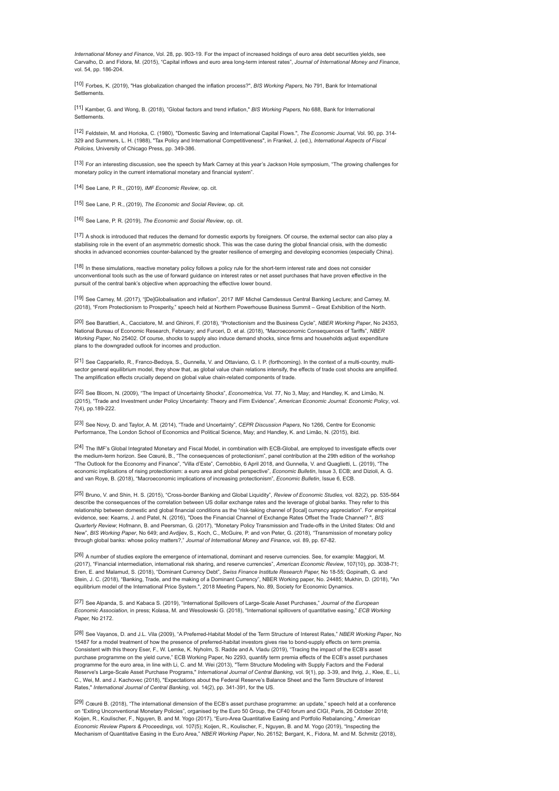*International Money and Finance*, Vol. 28, pp. 903-19. For the impact of increased holdings of euro area debt securities yields, see Carvalho, D. and Fidora, M. (2015), "Capital inflows and euro area long-term interest rates", *Journal of International Money and Finance*, vol. 54, pp. 186-204.

[10] Forbes, K. (2019), "Has globalization changed the inflation process?", *BIS Working Papers*, No 791, Bank for International Settlements.

[11] Kamber, G. and Wong, B. (2018), "Global factors and trend inflation," *BIS Working Papers,* No 688, Bank for International **Settlements** 

[12] Feldstein, M. and Horioka, C. (1980), "Domestic Saving and International Capital Flows.", *The Economic Journal*, Vol. 90, pp. 314- 329 and Summers, L. H. (1988), "Tax Policy and International Competitiveness", in Frankel, J. (ed.), *International Aspects of Fiscal Policies*, University of Chicago Press, pp. 349-386.

[13] For an interesting discussion, see the speech by Mark Carney at this year's Jackson Hole symposium, "The growing challenges for monetary policy in the current international monetary and financial system".

[14] See Lane, P. R., (2019), *IMF Economic Review*, op. cit.

[15] See Lane, P. R., (2019), *The Economic and Social Review*, op. cit.

[16] See Lane, P. R. (2019), *The Economic and Social Review*, op. cit.

[17] A shock is introduced that reduces the demand for domestic exports by foreigners. Of course, the external sector can also play a stabilising role in the event of an asymmetric domestic shock. This was the case during the global financial crisis, with the domestic shocks in advanced economies counter-balanced by the greater resilience of emerging and developing economies (especially China).

[18] In these simulations, reactive monetary policy follows a policy rule for the short-term interest rate and does not consider unconventional tools such as the use of forward guidance on interest rates or net asset purchases that have proven effective in the pursuit of the central bank's objective when approaching the effective lower bound.

[19] See Carney, M. (2017), "[De]Globalisation and inflation", 2017 IMF Michel Camdessus Central Banking Lecture; and Carney, M. (2018), "From Protectionism to Prosperity," speech held at Northern Powerhouse Business Summit – Great Exhibition of the North.

[20] See Barattieri, A., Cacciatore, M. and Ghironi, F. (2018), "Protectionism and the Business Cycle", *NBER Working Paper*, No 24353, National Bureau of Economic Research, February; and Furceri, D. et al. (2018), "Macroeconomic Consequences of Tariffs", *NBER Working Paper*, No 25402. Of course, shocks to supply also induce demand shocks, since firms and households adjust expenditure plans to the downgraded outlook for incomes and production.

[21] See Cappariello, R., Franco-Bedoya, S., Gunnella, V. and Ottaviano, G. I. P. (forthcoming). In the context of a multi-country, multisector general equilibrium model, they show that, as global value chain relations intensify, the effects of trade cost shocks are amplified. The amplification effects crucially depend on global value chain-related components of trade.

[22] See Bloom, N. (2009), "The Impact of Uncertainty Shocks", *Econometrica*, Vol. 77, No 3, May; and Handley, K. and Limão, N. (2015), "Trade and Investment under Policy Uncertainty: Theory and Firm Evidence", *American Economic Journal: Economic Policy*, vol. 7(4), pp.189-222.

[23] See Novy, D. and Taylor, A. M. (2014), "Trade and Uncertainty", *CEPR Discussion Papers*, No 1266, Centre for Economic Performance, The London School of Economics and Political Science, May; and Handley, K. and Limão, N. (2015), ibid.

[24] The IMF's Global Integrated Monetary and Fiscal Model, in combination with ECB-Global, are employed to investigate effects over the medium-term horizon. See Cœuré, B., "The consequences of protectionism", panel contribution at the 29th edition of the workshop "The Outlook for the Economy and Finance", "Villa d'Este", Cernobbio, 6 April 2018, and Gunnella, V. and Quaglietti, L. (2019), "The economic implications of rising protectionism: a euro area and global perspective", *Economic Bulletin*, Issue 3, ECB; and Dizioli, A. G. and van Roye, B. (2018), "Macroeconomic implications of increasing protectionism", *Economic Bulletin*, Issue 6, ECB.

[25] Bruno, V. and Shin, H. S. (2015), "Cross-border Banking and Global Liquidity", *Review of Economic Studies,* vol. 82(2), pp. 535-564 describe the consequences of the correlation between US dollar exchange rates and the leverage of global banks. They refer to this relationship between domestic and global financial conditions as the "risk-taking channel of [local] currency appreciation". For empirical evidence, see: Kearns, J. and Patel, N. (2016), "Does the Financial Channel of Exchange Rates Offset the Trade Channel? ", *BIS Quarterly Review*; Hofmann, B. and Peersman, G. (2017), "Monetary Policy Transmission and Trade-offs in the United States: Old and New", *BIS Working Paper*, No 649; and Avdjiev, S., Koch, C., McGuire, P. and von Peter, G. (2018), "Transmission of monetary policy through global banks: whose policy matters?," *Journal of International Money and Finance*, vol. 89, pp. 67-82.

[26] A number of studies explore the emergence of international, dominant and reserve currencies. See, for example: Maggiori, M. (2017), "Financial intermediation, international risk sharing, and reserve currencies", *American Economic Review*, 107(10), pp. 3038-71; Eren, E. and Malamud, S. (2018), "Dominant Currency Debt", *Swiss Finance Institute Research Paper,* No 18-55; Gopinath, G. and Stein, J. C. (2018), "Banking, Trade, and the making of a Dominant Currency", NBER Working paper, No. 24485; Mukhin, D. (2018), "An equilibrium model of the International Price System.", 2018 Meeting Papers, No. 89, Society for Economic Dynamics.

[27] See Alpanda, S. and Kabaca S. (2019), "International Spillovers of Large-Scale Asset Purchases," *Journal of the European Economic Association*, in press; Kolasa, M. and Wesolowski G. (2018), "International spillovers of quantitative easing," *ECB Working Paper,* No 2172.

[28] See Vayanos, D. and J.L. Vila (2009), "A Preferred-Habitat Model of the Term Structure of Interest Rates," *NBER Working Paper*, No 15487 for a model treatment of how the presence of preferred-habitat investors gives rise to bond-supply effects on term premia. Consistent with this theory Eser, F., W. Lemke, K. Nyholm, S. Radde and A. Vladu (2019), "Tracing the impact of the ECB's asset purchase programme on the yield curve," ECB Working Paper, No 2293, quantify term premia effects of the ECB's asset purchases programme for the euro area, in line with Li, C. and M. Wei (2013), "Term Structure Modeling with Supply Factors and the Federal Reserve's Large-Scale Asset Purchase Programs," *International Journal of Central Banking*, vol. 9(1), pp. 3-39, and Ihrig, J., Klee, E., Li, C., Wei, M. and J. Kachovec (2018), "Expectations about the Federal Reserve's Balance Sheet and the Term Structure of Interest Rates," *International Journal of Central Banking*, vol. 14(2), pp. 341-391, for the US.

[29] Cœuré B. (2018), "The international dimension of the ECB's asset purchase programme: an update," speech held at a conference on "Exiting Unconventional Monetary Policies", organised by the Euro 50 Group, the CF40 forum and CIGI, Paris, 26 October 2018; Koijen, R., Koulischer, F., Nguyen, B. and M. Yogo (2017), "Euro-Area Quantitative Easing and Portfolio Rebalancing," *American Economic Review Papers & Proceedings*, vol. 107(5); Koijen, R., Koulischer, F., Nguyen, B. and M. Yogo (2019), "Inspecting the Mechanism of Quantitative Easing in the Euro Area," *NBER Working Paper*, No. 26152; Bergant, K., Fidora, M. and M. Schmitz (2018),